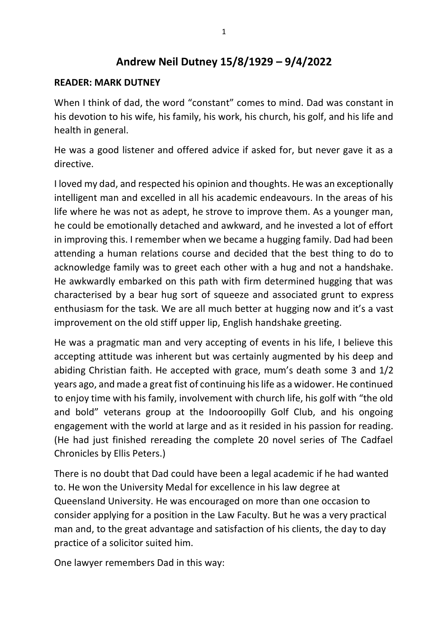# **Andrew Neil Dutney 15/8/1929 – 9/4/2022**

#### **READER: MARK DUTNEY**

When I think of dad, the word "constant" comes to mind. Dad was constant in his devotion to his wife, his family, his work, his church, his golf, and his life and health in general.

He was a good listener and offered advice if asked for, but never gave it as a directive.

I loved my dad, and respected his opinion and thoughts. He was an exceptionally intelligent man and excelled in all his academic endeavours. In the areas of his life where he was not as adept, he strove to improve them. As a younger man, he could be emotionally detached and awkward, and he invested a lot of effort in improving this. I remember when we became a hugging family. Dad had been attending a human relations course and decided that the best thing to do to acknowledge family was to greet each other with a hug and not a handshake. He awkwardly embarked on this path with firm determined hugging that was characterised by a bear hug sort of squeeze and associated grunt to express enthusiasm for the task. We are all much better at hugging now and it's a vast improvement on the old stiff upper lip, English handshake greeting.

He was a pragmatic man and very accepting of events in his life, I believe this accepting attitude was inherent but was certainly augmented by his deep and abiding Christian faith. He accepted with grace, mum's death some 3 and 1/2 years ago, and made a great fist of continuing his life as a widower. He continued to enjoy time with his family, involvement with church life, his golf with "the old and bold" veterans group at the Indooroopilly Golf Club, and his ongoing engagement with the world at large and as it resided in his passion for reading. (He had just finished rereading the complete 20 novel series of The Cadfael Chronicles by Ellis Peters.)

There is no doubt that Dad could have been a legal academic if he had wanted to. He won the University Medal for excellence in his law degree at Queensland University. He was encouraged on more than one occasion to consider applying for a position in the Law Faculty. But he was a very practical man and, to the great advantage and satisfaction of his clients, the day to day practice of a solicitor suited him.

One lawyer remembers Dad in this way: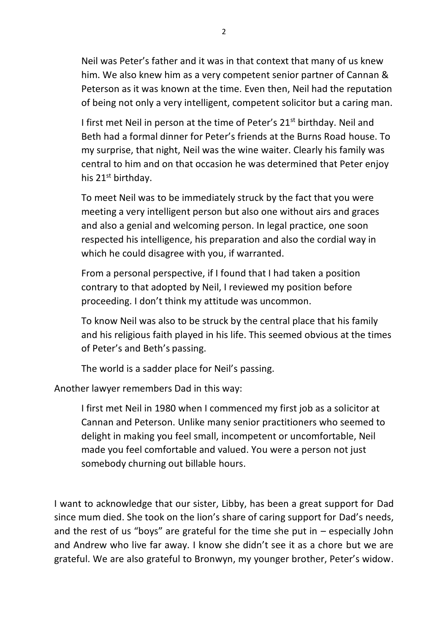Neil was Peter's father and it was in that context that many of us knew him. We also knew him as a very competent senior partner of Cannan & Peterson as it was known at the time. Even then, Neil had the reputation of being not only a very intelligent, competent solicitor but a caring man.

I first met Neil in person at the time of Peter's 21<sup>st</sup> birthday. Neil and Beth had a formal dinner for Peter's friends at the Burns Road house. To my surprise, that night, Neil was the wine waiter. Clearly his family was central to him and on that occasion he was determined that Peter enjoy his 21<sup>st</sup> birthday.

To meet Neil was to be immediately struck by the fact that you were meeting a very intelligent person but also one without airs and graces and also a genial and welcoming person. In legal practice, one soon respected his intelligence, his preparation and also the cordial way in which he could disagree with you, if warranted.

From a personal perspective, if I found that I had taken a position contrary to that adopted by Neil, I reviewed my position before proceeding. I don't think my attitude was uncommon.

To know Neil was also to be struck by the central place that his family and his religious faith played in his life. This seemed obvious at the times of Peter's and Beth's passing.

The world is a sadder place for Neil's passing.

Another lawyer remembers Dad in this way:

I first met Neil in 1980 when I commenced my first job as a solicitor at Cannan and Peterson. Unlike many senior practitioners who seemed to delight in making you feel small, incompetent or uncomfortable, Neil made you feel comfortable and valued. You were a person not just somebody churning out billable hours.

I want to acknowledge that our sister, Libby, has been a great support for Dad since mum died. She took on the lion's share of caring support for Dad's needs, and the rest of us "boys" are grateful for the time she put in – especially John and Andrew who live far away. I know she didn't see it as a chore but we are grateful. We are also grateful to Bronwyn, my younger brother, Peter's widow.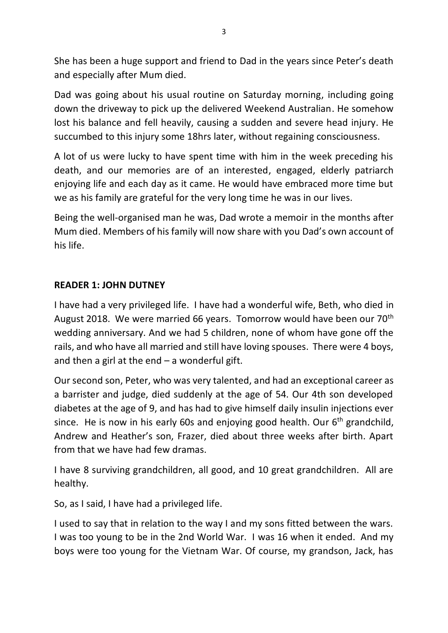She has been a huge support and friend to Dad in the years since Peter's death and especially after Mum died.

Dad was going about his usual routine on Saturday morning, including going down the driveway to pick up the delivered Weekend Australian. He somehow lost his balance and fell heavily, causing a sudden and severe head injury. He succumbed to this injury some 18hrs later, without regaining consciousness.

A lot of us were lucky to have spent time with him in the week preceding his death, and our memories are of an interested, engaged, elderly patriarch enjoying life and each day as it came. He would have embraced more time but we as his family are grateful for the very long time he was in our lives.

Being the well-organised man he was, Dad wrote a memoir in the months after Mum died. Members of his family will now share with you Dad's own account of his life.

### **READER 1: JOHN DUTNEY**

I have had a very privileged life. I have had a wonderful wife, Beth, who died in August 2018. We were married 66 years. Tomorrow would have been our 70<sup>th</sup> wedding anniversary. And we had 5 children, none of whom have gone off the rails, and who have all married and still have loving spouses. There were 4 boys, and then a girl at the end  $-$  a wonderful gift.

Our second son, Peter, who was very talented, and had an exceptional career as a barrister and judge, died suddenly at the age of 54. Our 4th son developed diabetes at the age of 9, and has had to give himself daily insulin injections ever since. He is now in his early 60s and enjoying good health. Our  $6<sup>th</sup>$  grandchild, Andrew and Heather's son, Frazer, died about three weeks after birth. Apart from that we have had few dramas.

I have 8 surviving grandchildren, all good, and 10 great grandchildren. All are healthy.

So, as I said, I have had a privileged life.

I used to say that in relation to the way I and my sons fitted between the wars. I was too young to be in the 2nd World War. I was 16 when it ended. And my boys were too young for the Vietnam War. Of course, my grandson, Jack, has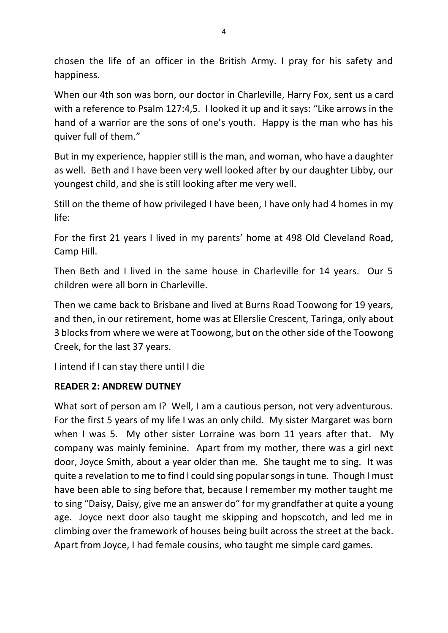chosen the life of an officer in the British Army. I pray for his safety and happiness.

When our 4th son was born, our doctor in Charleville, Harry Fox, sent us a card with a reference to Psalm 127:4,5. I looked it up and it says: "Like arrows in the hand of a warrior are the sons of one's youth. Happy is the man who has his quiver full of them."

But in my experience, happier still is the man, and woman, who have a daughter as well. Beth and I have been very well looked after by our daughter Libby, our youngest child, and she is still looking after me very well.

Still on the theme of how privileged I have been, I have only had 4 homes in my life:

For the first 21 years I lived in my parents' home at 498 Old Cleveland Road, Camp Hill.

Then Beth and I lived in the same house in Charleville for 14 years. Our 5 children were all born in Charleville.

Then we came back to Brisbane and lived at Burns Road Toowong for 19 years, and then, in our retirement, home was at Ellerslie Crescent, Taringa, only about 3 blocks from where we were at Toowong, but on the other side of the Toowong Creek, for the last 37 years.

I intend if I can stay there until I die

## **READER 2: ANDREW DUTNEY**

What sort of person am I? Well, I am a cautious person, not very adventurous. For the first 5 years of my life I was an only child. My sister Margaret was born when I was 5. My other sister Lorraine was born 11 years after that. My company was mainly feminine. Apart from my mother, there was a girl next door, Joyce Smith, about a year older than me. She taught me to sing. It was quite a revelation to me to find I could sing popular songs in tune. Though I must have been able to sing before that, because I remember my mother taught me to sing "Daisy, Daisy, give me an answer do" for my grandfather at quite a young age. Joyce next door also taught me skipping and hopscotch, and led me in climbing over the framework of houses being built across the street at the back. Apart from Joyce, I had female cousins, who taught me simple card games.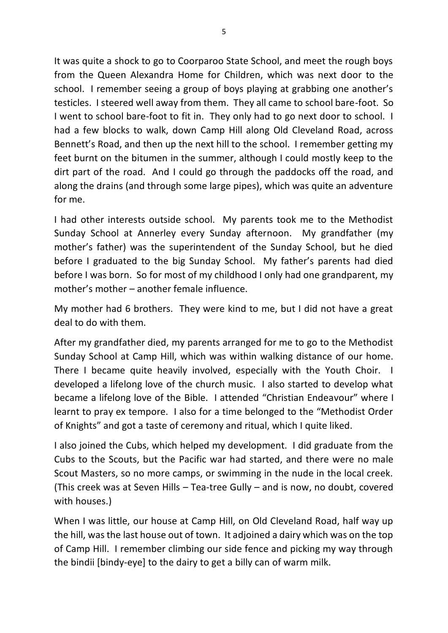It was quite a shock to go to Coorparoo State School, and meet the rough boys from the Queen Alexandra Home for Children, which was next door to the school. I remember seeing a group of boys playing at grabbing one another's testicles. I steered well away from them. They all came to school bare-foot. So I went to school bare-foot to fit in. They only had to go next door to school. I had a few blocks to walk, down Camp Hill along Old Cleveland Road, across Bennett's Road, and then up the next hill to the school. I remember getting my feet burnt on the bitumen in the summer, although I could mostly keep to the dirt part of the road. And I could go through the paddocks off the road, and along the drains (and through some large pipes), which was quite an adventure for me.

I had other interests outside school. My parents took me to the Methodist Sunday School at Annerley every Sunday afternoon. My grandfather (my mother's father) was the superintendent of the Sunday School, but he died before I graduated to the big Sunday School. My father's parents had died before I was born. So for most of my childhood I only had one grandparent, my mother's mother – another female influence.

My mother had 6 brothers. They were kind to me, but I did not have a great deal to do with them.

After my grandfather died, my parents arranged for me to go to the Methodist Sunday School at Camp Hill, which was within walking distance of our home. There I became quite heavily involved, especially with the Youth Choir. I developed a lifelong love of the church music. I also started to develop what became a lifelong love of the Bible. I attended "Christian Endeavour" where I learnt to pray ex tempore. I also for a time belonged to the "Methodist Order of Knights" and got a taste of ceremony and ritual, which I quite liked.

I also joined the Cubs, which helped my development. I did graduate from the Cubs to the Scouts, but the Pacific war had started, and there were no male Scout Masters, so no more camps, or swimming in the nude in the local creek. (This creek was at Seven Hills – Tea-tree Gully – and is now, no doubt, covered with houses.)

When I was little, our house at Camp Hill, on Old Cleveland Road, half way up the hill, was the last house out of town. It adjoined a dairy which was on the top of Camp Hill. I remember climbing our side fence and picking my way through the bindii [bindy-eye] to the dairy to get a billy can of warm milk.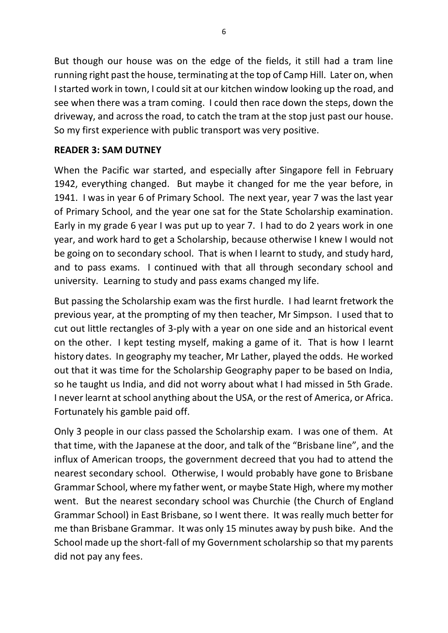But though our house was on the edge of the fields, it still had a tram line running right past the house, terminating at the top of Camp Hill. Later on, when I started work in town, I could sit at our kitchen window looking up the road, and see when there was a tram coming. I could then race down the steps, down the driveway, and across the road, to catch the tram at the stop just past our house. So my first experience with public transport was very positive.

### **READER 3: SAM DUTNEY**

When the Pacific war started, and especially after Singapore fell in February 1942, everything changed. But maybe it changed for me the year before, in 1941. I was in year 6 of Primary School. The next year, year 7 was the last year of Primary School, and the year one sat for the State Scholarship examination. Early in my grade 6 year I was put up to year 7. I had to do 2 years work in one year, and work hard to get a Scholarship, because otherwise I knew I would not be going on to secondary school. That is when I learnt to study, and study hard, and to pass exams. I continued with that all through secondary school and university. Learning to study and pass exams changed my life.

But passing the Scholarship exam was the first hurdle. I had learnt fretwork the previous year, at the prompting of my then teacher, Mr Simpson. I used that to cut out little rectangles of 3-ply with a year on one side and an historical event on the other. I kept testing myself, making a game of it. That is how I learnt history dates. In geography my teacher, Mr Lather, played the odds. He worked out that it was time for the Scholarship Geography paper to be based on India, so he taught us India, and did not worry about what I had missed in 5th Grade. I never learnt at school anything about the USA, or the rest of America, or Africa. Fortunately his gamble paid off.

Only 3 people in our class passed the Scholarship exam. I was one of them. At that time, with the Japanese at the door, and talk of the "Brisbane line", and the influx of American troops, the government decreed that you had to attend the nearest secondary school. Otherwise, I would probably have gone to Brisbane Grammar School, where my father went, or maybe State High, where my mother went. But the nearest secondary school was Churchie (the Church of England Grammar School) in East Brisbane, so I went there. It was really much better for me than Brisbane Grammar. It was only 15 minutes away by push bike. And the School made up the short-fall of my Government scholarship so that my parents did not pay any fees.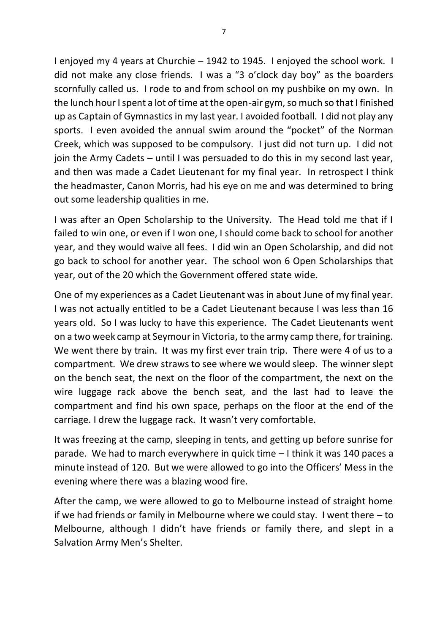I enjoyed my 4 years at Churchie – 1942 to 1945. I enjoyed the school work. I did not make any close friends. I was a "3 o'clock day boy" as the boarders scornfully called us. I rode to and from school on my pushbike on my own. In the lunch hour I spent a lot of time at the open-air gym, so much so that I finished up as Captain of Gymnastics in my last year. I avoided football. I did not play any sports. I even avoided the annual swim around the "pocket" of the Norman Creek, which was supposed to be compulsory. I just did not turn up. I did not join the Army Cadets – until I was persuaded to do this in my second last year, and then was made a Cadet Lieutenant for my final year. In retrospect I think the headmaster, Canon Morris, had his eye on me and was determined to bring out some leadership qualities in me.

I was after an Open Scholarship to the University. The Head told me that if I failed to win one, or even if I won one, I should come back to school for another year, and they would waive all fees. I did win an Open Scholarship, and did not go back to school for another year. The school won 6 Open Scholarships that year, out of the 20 which the Government offered state wide.

One of my experiences as a Cadet Lieutenant was in about June of my final year. I was not actually entitled to be a Cadet Lieutenant because I was less than 16 years old. So I was lucky to have this experience. The Cadet Lieutenants went on a two week camp at Seymour in Victoria, to the army camp there, for training. We went there by train. It was my first ever train trip. There were 4 of us to a compartment. We drew straws to see where we would sleep. The winner slept on the bench seat, the next on the floor of the compartment, the next on the wire luggage rack above the bench seat, and the last had to leave the compartment and find his own space, perhaps on the floor at the end of the carriage. I drew the luggage rack. It wasn't very comfortable.

It was freezing at the camp, sleeping in tents, and getting up before sunrise for parade. We had to march everywhere in quick time – I think it was 140 paces a minute instead of 120. But we were allowed to go into the Officers' Mess in the evening where there was a blazing wood fire.

After the camp, we were allowed to go to Melbourne instead of straight home if we had friends or family in Melbourne where we could stay. I went there – to Melbourne, although I didn't have friends or family there, and slept in a Salvation Army Men's Shelter.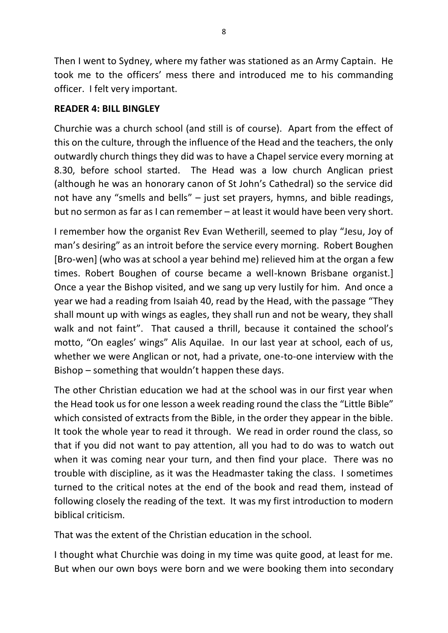Then I went to Sydney, where my father was stationed as an Army Captain. He took me to the officers' mess there and introduced me to his commanding officer. I felt very important.

### **READER 4: BILL BINGLEY**

Churchie was a church school (and still is of course). Apart from the effect of this on the culture, through the influence of the Head and the teachers, the only outwardly church things they did was to have a Chapel service every morning at 8.30, before school started. The Head was a low church Anglican priest (although he was an honorary canon of St John's Cathedral) so the service did not have any "smells and bells" – just set prayers, hymns, and bible readings, but no sermon as far as I can remember – at least it would have been very short.

I remember how the organist Rev Evan Wetherill, seemed to play "Jesu, Joy of man's desiring" as an introit before the service every morning. Robert Boughen [Bro-wen] (who was at school a year behind me) relieved him at the organ a few times. Robert Boughen of course became a well-known Brisbane organist.] Once a year the Bishop visited, and we sang up very lustily for him. And once a year we had a reading from Isaiah 40, read by the Head, with the passage "They shall mount up with wings as eagles, they shall run and not be weary, they shall walk and not faint". That caused a thrill, because it contained the school's motto, "On eagles' wings" Alis Aquilae. In our last year at school, each of us, whether we were Anglican or not, had a private, one-to-one interview with the Bishop – something that wouldn't happen these days.

The other Christian education we had at the school was in our first year when the Head took us for one lesson a week reading round the class the "Little Bible" which consisted of extracts from the Bible, in the order they appear in the bible. It took the whole year to read it through. We read in order round the class, so that if you did not want to pay attention, all you had to do was to watch out when it was coming near your turn, and then find your place. There was no trouble with discipline, as it was the Headmaster taking the class. I sometimes turned to the critical notes at the end of the book and read them, instead of following closely the reading of the text. It was my first introduction to modern biblical criticism.

That was the extent of the Christian education in the school.

I thought what Churchie was doing in my time was quite good, at least for me. But when our own boys were born and we were booking them into secondary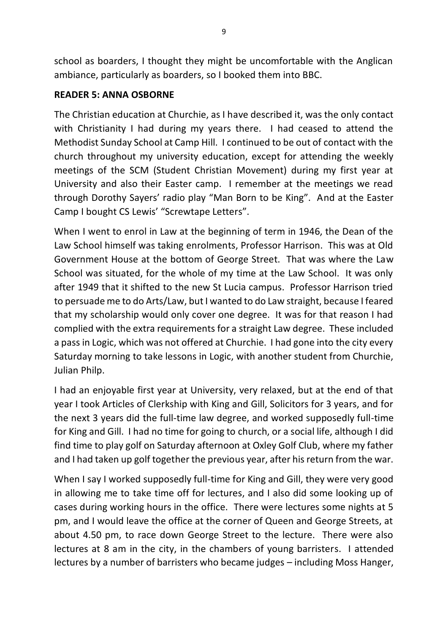school as boarders, I thought they might be uncomfortable with the Anglican ambiance, particularly as boarders, so I booked them into BBC.

### **READER 5: ANNA OSBORNE**

The Christian education at Churchie, as I have described it, was the only contact with Christianity I had during my years there. I had ceased to attend the Methodist Sunday School at Camp Hill. I continued to be out of contact with the church throughout my university education, except for attending the weekly meetings of the SCM (Student Christian Movement) during my first year at University and also their Easter camp. I remember at the meetings we read through Dorothy Sayers' radio play "Man Born to be King". And at the Easter Camp I bought CS Lewis' "Screwtape Letters".

When I went to enrol in Law at the beginning of term in 1946, the Dean of the Law School himself was taking enrolments, Professor Harrison. This was at Old Government House at the bottom of George Street. That was where the Law School was situated, for the whole of my time at the Law School. It was only after 1949 that it shifted to the new St Lucia campus. Professor Harrison tried to persuade me to do Arts/Law, but I wanted to do Law straight, because I feared that my scholarship would only cover one degree. It was for that reason I had complied with the extra requirements for a straight Law degree. These included a pass in Logic, which was not offered at Churchie. I had gone into the city every Saturday morning to take lessons in Logic, with another student from Churchie, Julian Philp.

I had an enjoyable first year at University, very relaxed, but at the end of that year I took Articles of Clerkship with King and Gill, Solicitors for 3 years, and for the next 3 years did the full-time law degree, and worked supposedly full-time for King and Gill. I had no time for going to church, or a social life, although I did find time to play golf on Saturday afternoon at Oxley Golf Club, where my father and I had taken up golf together the previous year, after his return from the war.

When I say I worked supposedly full-time for King and Gill, they were very good in allowing me to take time off for lectures, and I also did some looking up of cases during working hours in the office. There were lectures some nights at 5 pm, and I would leave the office at the corner of Queen and George Streets, at about 4.50 pm, to race down George Street to the lecture. There were also lectures at 8 am in the city, in the chambers of young barristers. I attended lectures by a number of barristers who became judges – including Moss Hanger,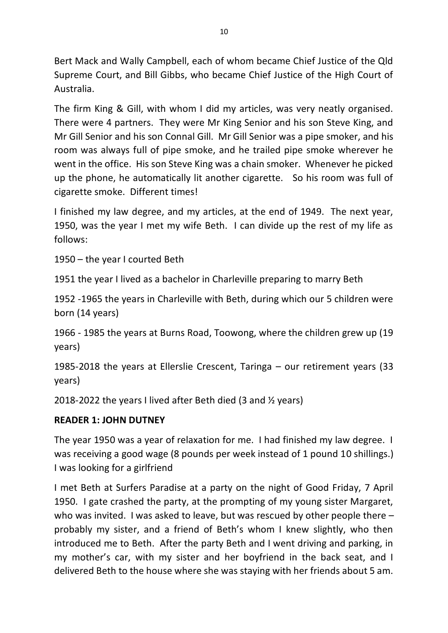Bert Mack and Wally Campbell, each of whom became Chief Justice of the Qld Supreme Court, and Bill Gibbs, who became Chief Justice of the High Court of Australia.

The firm King & Gill, with whom I did my articles, was very neatly organised. There were 4 partners. They were Mr King Senior and his son Steve King, and Mr Gill Senior and his son Connal Gill. Mr Gill Senior was a pipe smoker, and his room was always full of pipe smoke, and he trailed pipe smoke wherever he went in the office. His son Steve King was a chain smoker. Whenever he picked up the phone, he automatically lit another cigarette. So his room was full of cigarette smoke. Different times!

I finished my law degree, and my articles, at the end of 1949. The next year, 1950, was the year I met my wife Beth. I can divide up the rest of my life as follows:

1950 – the year I courted Beth

1951 the year I lived as a bachelor in Charleville preparing to marry Beth

1952 -1965 the years in Charleville with Beth, during which our 5 children were born (14 years)

1966 - 1985 the years at Burns Road, Toowong, where the children grew up (19 years)

1985-2018 the years at Ellerslie Crescent, Taringa – our retirement years (33 years)

2018-2022 the years I lived after Beth died (3 and ½ years)

## **READER 1: JOHN DUTNEY**

The year 1950 was a year of relaxation for me. I had finished my law degree. I was receiving a good wage (8 pounds per week instead of 1 pound 10 shillings.) I was looking for a girlfriend

I met Beth at Surfers Paradise at a party on the night of Good Friday, 7 April 1950. I gate crashed the party, at the prompting of my young sister Margaret, who was invited. I was asked to leave, but was rescued by other people there probably my sister, and a friend of Beth's whom I knew slightly, who then introduced me to Beth. After the party Beth and I went driving and parking, in my mother's car, with my sister and her boyfriend in the back seat, and I delivered Beth to the house where she was staying with her friends about 5 am.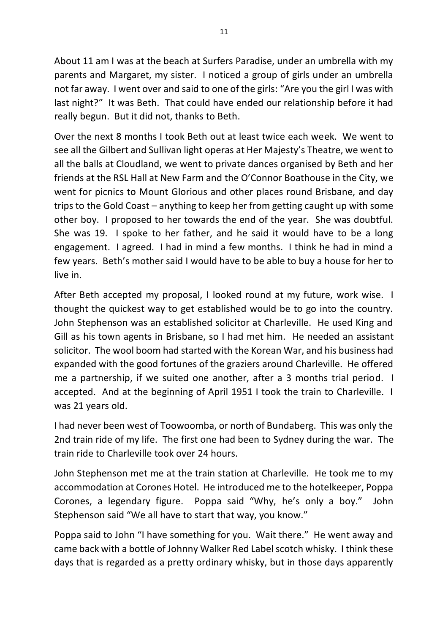About 11 am I was at the beach at Surfers Paradise, under an umbrella with my parents and Margaret, my sister. I noticed a group of girls under an umbrella not far away. I went over and said to one of the girls: "Are you the girl I was with last night?" It was Beth. That could have ended our relationship before it had really begun. But it did not, thanks to Beth.

Over the next 8 months I took Beth out at least twice each week. We went to see all the Gilbert and Sullivan light operas at Her Majesty's Theatre, we went to all the balls at Cloudland, we went to private dances organised by Beth and her friends at the RSL Hall at New Farm and the O'Connor Boathouse in the City, we went for picnics to Mount Glorious and other places round Brisbane, and day trips to the Gold Coast – anything to keep her from getting caught up with some other boy. I proposed to her towards the end of the year. She was doubtful. She was 19. I spoke to her father, and he said it would have to be a long engagement. I agreed. I had in mind a few months. I think he had in mind a few years. Beth's mother said I would have to be able to buy a house for her to live in.

After Beth accepted my proposal, I looked round at my future, work wise. I thought the quickest way to get established would be to go into the country. John Stephenson was an established solicitor at Charleville. He used King and Gill as his town agents in Brisbane, so I had met him. He needed an assistant solicitor. The wool boom had started with the Korean War, and his business had expanded with the good fortunes of the graziers around Charleville. He offered me a partnership, if we suited one another, after a 3 months trial period. I accepted. And at the beginning of April 1951 I took the train to Charleville. I was 21 years old.

I had never been west of Toowoomba, or north of Bundaberg. This was only the 2nd train ride of my life. The first one had been to Sydney during the war. The train ride to Charleville took over 24 hours.

John Stephenson met me at the train station at Charleville. He took me to my accommodation at Corones Hotel. He introduced me to the hotelkeeper, Poppa Corones, a legendary figure. Poppa said "Why, he's only a boy." John Stephenson said "We all have to start that way, you know."

Poppa said to John "I have something for you. Wait there." He went away and came back with a bottle of Johnny Walker Red Label scotch whisky. I think these days that is regarded as a pretty ordinary whisky, but in those days apparently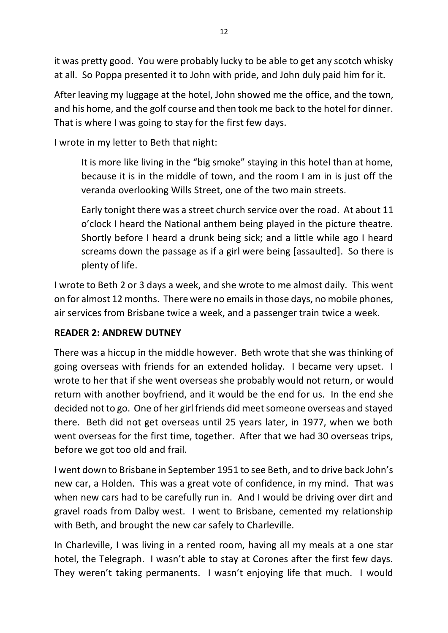it was pretty good. You were probably lucky to be able to get any scotch whisky at all. So Poppa presented it to John with pride, and John duly paid him for it.

After leaving my luggage at the hotel, John showed me the office, and the town, and his home, and the golf course and then took me back to the hotel for dinner. That is where I was going to stay for the first few days.

I wrote in my letter to Beth that night:

It is more like living in the "big smoke" staying in this hotel than at home, because it is in the middle of town, and the room I am in is just off the veranda overlooking Wills Street, one of the two main streets.

Early tonight there was a street church service over the road. At about 11 o'clock I heard the National anthem being played in the picture theatre. Shortly before I heard a drunk being sick; and a little while ago I heard screams down the passage as if a girl were being [assaulted]. So there is plenty of life.

I wrote to Beth 2 or 3 days a week, and she wrote to me almost daily. This went on for almost 12 months. There were no emails in those days, no mobile phones, air services from Brisbane twice a week, and a passenger train twice a week.

## **READER 2: ANDREW DUTNEY**

There was a hiccup in the middle however. Beth wrote that she was thinking of going overseas with friends for an extended holiday. I became very upset. I wrote to her that if she went overseas she probably would not return, or would return with another boyfriend, and it would be the end for us. In the end she decided not to go. One of her girl friends did meet someone overseas and stayed there. Beth did not get overseas until 25 years later, in 1977, when we both went overseas for the first time, together. After that we had 30 overseas trips, before we got too old and frail.

I went down to Brisbane in September 1951 to see Beth, and to drive back John's new car, a Holden. This was a great vote of confidence, in my mind. That was when new cars had to be carefully run in. And I would be driving over dirt and gravel roads from Dalby west. I went to Brisbane, cemented my relationship with Beth, and brought the new car safely to Charleville.

In Charleville, I was living in a rented room, having all my meals at a one star hotel, the Telegraph. I wasn't able to stay at Corones after the first few days. They weren't taking permanents. I wasn't enjoying life that much. I would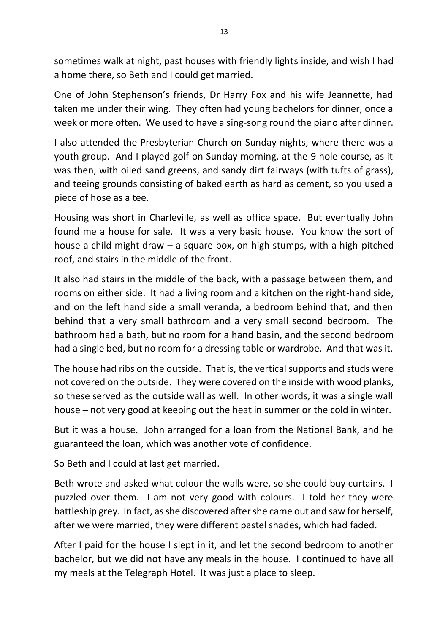sometimes walk at night, past houses with friendly lights inside, and wish I had a home there, so Beth and I could get married.

One of John Stephenson's friends, Dr Harry Fox and his wife Jeannette, had taken me under their wing. They often had young bachelors for dinner, once a week or more often. We used to have a sing-song round the piano after dinner.

I also attended the Presbyterian Church on Sunday nights, where there was a youth group. And I played golf on Sunday morning, at the 9 hole course, as it was then, with oiled sand greens, and sandy dirt fairways (with tufts of grass), and teeing grounds consisting of baked earth as hard as cement, so you used a piece of hose as a tee.

Housing was short in Charleville, as well as office space. But eventually John found me a house for sale. It was a very basic house. You know the sort of house a child might draw – a square box, on high stumps, with a high-pitched roof, and stairs in the middle of the front.

It also had stairs in the middle of the back, with a passage between them, and rooms on either side. It had a living room and a kitchen on the right-hand side, and on the left hand side a small veranda, a bedroom behind that, and then behind that a very small bathroom and a very small second bedroom. The bathroom had a bath, but no room for a hand basin, and the second bedroom had a single bed, but no room for a dressing table or wardrobe. And that was it.

The house had ribs on the outside. That is, the vertical supports and studs were not covered on the outside. They were covered on the inside with wood planks, so these served as the outside wall as well. In other words, it was a single wall house – not very good at keeping out the heat in summer or the cold in winter.

But it was a house. John arranged for a loan from the National Bank, and he guaranteed the loan, which was another vote of confidence.

So Beth and I could at last get married.

Beth wrote and asked what colour the walls were, so she could buy curtains. I puzzled over them. I am not very good with colours. I told her they were battleship grey. In fact, as she discovered after she came out and saw for herself, after we were married, they were different pastel shades, which had faded.

After I paid for the house I slept in it, and let the second bedroom to another bachelor, but we did not have any meals in the house. I continued to have all my meals at the Telegraph Hotel. It was just a place to sleep.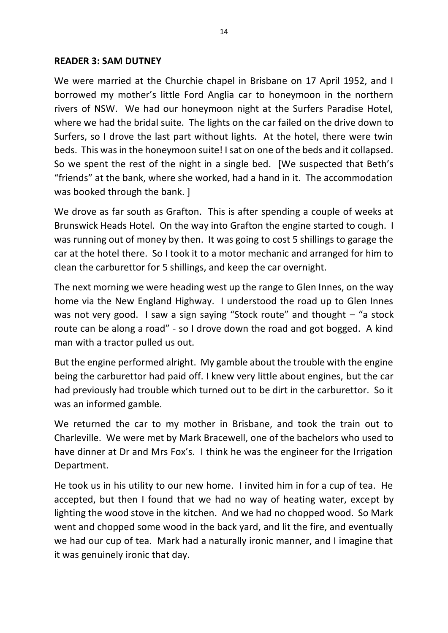#### **READER 3: SAM DUTNEY**

We were married at the Churchie chapel in Brisbane on 17 April 1952, and I borrowed my mother's little Ford Anglia car to honeymoon in the northern rivers of NSW. We had our honeymoon night at the Surfers Paradise Hotel, where we had the bridal suite. The lights on the car failed on the drive down to Surfers, so I drove the last part without lights. At the hotel, there were twin beds. This was in the honeymoon suite! I sat on one of the beds and it collapsed. So we spent the rest of the night in a single bed. [We suspected that Beth's "friends" at the bank, where she worked, had a hand in it. The accommodation was booked through the bank. ]

We drove as far south as Grafton. This is after spending a couple of weeks at Brunswick Heads Hotel. On the way into Grafton the engine started to cough. I was running out of money by then. It was going to cost 5 shillings to garage the car at the hotel there. So I took it to a motor mechanic and arranged for him to clean the carburettor for 5 shillings, and keep the car overnight.

The next morning we were heading west up the range to Glen Innes, on the way home via the New England Highway. I understood the road up to Glen Innes was not very good. I saw a sign saying "Stock route" and thought – "a stock route can be along a road" - so I drove down the road and got bogged. A kind man with a tractor pulled us out.

But the engine performed alright. My gamble about the trouble with the engine being the carburettor had paid off. I knew very little about engines, but the car had previously had trouble which turned out to be dirt in the carburettor. So it was an informed gamble.

We returned the car to my mother in Brisbane, and took the train out to Charleville. We were met by Mark Bracewell, one of the bachelors who used to have dinner at Dr and Mrs Fox's. I think he was the engineer for the Irrigation Department.

He took us in his utility to our new home. I invited him in for a cup of tea. He accepted, but then I found that we had no way of heating water, except by lighting the wood stove in the kitchen. And we had no chopped wood. So Mark went and chopped some wood in the back yard, and lit the fire, and eventually we had our cup of tea. Mark had a naturally ironic manner, and I imagine that it was genuinely ironic that day.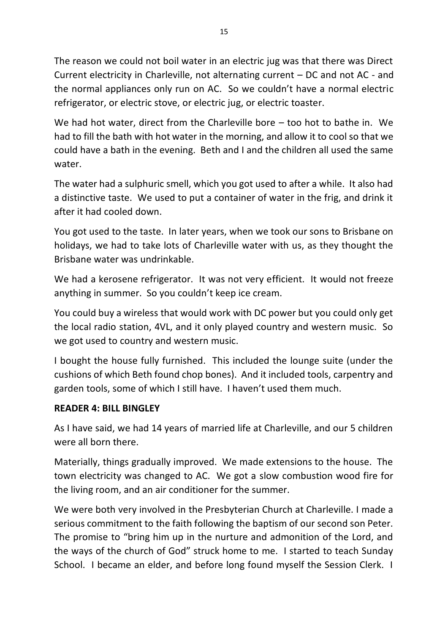The reason we could not boil water in an electric jug was that there was Direct Current electricity in Charleville, not alternating current – DC and not AC - and the normal appliances only run on AC. So we couldn't have a normal electric refrigerator, or electric stove, or electric jug, or electric toaster.

We had hot water, direct from the Charleville bore – too hot to bathe in. We had to fill the bath with hot water in the morning, and allow it to cool so that we could have a bath in the evening. Beth and I and the children all used the same water.

The water had a sulphuric smell, which you got used to after a while. It also had a distinctive taste. We used to put a container of water in the frig, and drink it after it had cooled down.

You got used to the taste. In later years, when we took our sons to Brisbane on holidays, we had to take lots of Charleville water with us, as they thought the Brisbane water was undrinkable.

We had a kerosene refrigerator. It was not very efficient. It would not freeze anything in summer. So you couldn't keep ice cream.

You could buy a wireless that would work with DC power but you could only get the local radio station, 4VL, and it only played country and western music. So we got used to country and western music.

I bought the house fully furnished. This included the lounge suite (under the cushions of which Beth found chop bones). And it included tools, carpentry and garden tools, some of which I still have. I haven't used them much.

### **READER 4: BILL BINGLEY**

As I have said, we had 14 years of married life at Charleville, and our 5 children were all born there.

Materially, things gradually improved. We made extensions to the house. The town electricity was changed to AC. We got a slow combustion wood fire for the living room, and an air conditioner for the summer.

We were both very involved in the Presbyterian Church at Charleville. I made a serious commitment to the faith following the baptism of our second son Peter. The promise to "bring him up in the nurture and admonition of the Lord, and the ways of the church of God" struck home to me. I started to teach Sunday School. I became an elder, and before long found myself the Session Clerk. I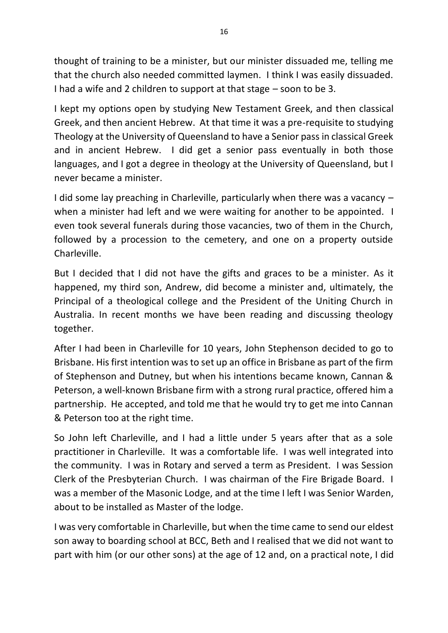thought of training to be a minister, but our minister dissuaded me, telling me that the church also needed committed laymen. I think I was easily dissuaded. I had a wife and 2 children to support at that stage – soon to be 3.

I kept my options open by studying New Testament Greek, and then classical Greek, and then ancient Hebrew. At that time it was a pre-requisite to studying Theology at the University of Queensland to have a Senior pass in classical Greek and in ancient Hebrew. I did get a senior pass eventually in both those languages, and I got a degree in theology at the University of Queensland, but I never became a minister.

I did some lay preaching in Charleville, particularly when there was a vacancy – when a minister had left and we were waiting for another to be appointed. I even took several funerals during those vacancies, two of them in the Church, followed by a procession to the cemetery, and one on a property outside Charleville.

But I decided that I did not have the gifts and graces to be a minister. As it happened, my third son, Andrew, did become a minister and, ultimately, the Principal of a theological college and the President of the Uniting Church in Australia. In recent months we have been reading and discussing theology together.

After I had been in Charleville for 10 years, John Stephenson decided to go to Brisbane. His first intention was to set up an office in Brisbane as part of the firm of Stephenson and Dutney, but when his intentions became known, Cannan & Peterson, a well-known Brisbane firm with a strong rural practice, offered him a partnership. He accepted, and told me that he would try to get me into Cannan & Peterson too at the right time.

So John left Charleville, and I had a little under 5 years after that as a sole practitioner in Charleville. It was a comfortable life. I was well integrated into the community. I was in Rotary and served a term as President. I was Session Clerk of the Presbyterian Church. I was chairman of the Fire Brigade Board. I was a member of the Masonic Lodge, and at the time I left I was Senior Warden, about to be installed as Master of the lodge.

I was very comfortable in Charleville, but when the time came to send our eldest son away to boarding school at BCC, Beth and I realised that we did not want to part with him (or our other sons) at the age of 12 and, on a practical note, I did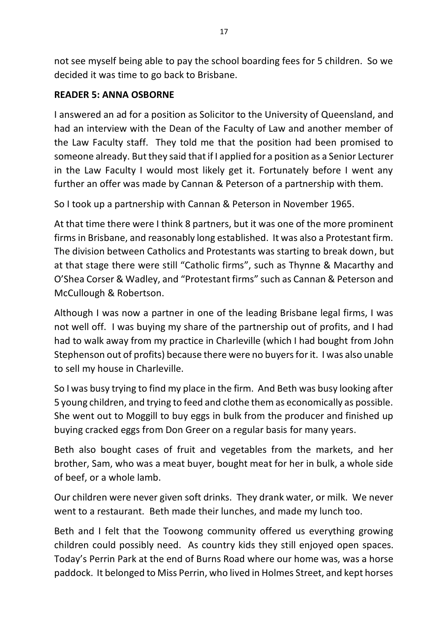not see myself being able to pay the school boarding fees for 5 children. So we decided it was time to go back to Brisbane.

### **READER 5: ANNA OSBORNE**

I answered an ad for a position as Solicitor to the University of Queensland, and had an interview with the Dean of the Faculty of Law and another member of the Law Faculty staff. They told me that the position had been promised to someone already. But they said that if I applied for a position as a Senior Lecturer in the Law Faculty I would most likely get it. Fortunately before I went any further an offer was made by Cannan & Peterson of a partnership with them.

So I took up a partnership with Cannan & Peterson in November 1965.

At that time there were I think 8 partners, but it was one of the more prominent firms in Brisbane, and reasonably long established. It was also a Protestant firm. The division between Catholics and Protestants was starting to break down, but at that stage there were still "Catholic firms", such as Thynne & Macarthy and O'Shea Corser & Wadley, and "Protestant firms" such as Cannan & Peterson and McCullough & Robertson.

Although I was now a partner in one of the leading Brisbane legal firms, I was not well off. I was buying my share of the partnership out of profits, and I had had to walk away from my practice in Charleville (which I had bought from John Stephenson out of profits) because there were no buyers for it. I was also unable to sell my house in Charleville.

So I was busy trying to find my place in the firm. And Beth was busy looking after 5 young children, and trying to feed and clothe them as economically as possible. She went out to Moggill to buy eggs in bulk from the producer and finished up buying cracked eggs from Don Greer on a regular basis for many years.

Beth also bought cases of fruit and vegetables from the markets, and her brother, Sam, who was a meat buyer, bought meat for her in bulk, a whole side of beef, or a whole lamb.

Our children were never given soft drinks. They drank water, or milk. We never went to a restaurant. Beth made their lunches, and made my lunch too.

Beth and I felt that the Toowong community offered us everything growing children could possibly need. As country kids they still enjoyed open spaces. Today's Perrin Park at the end of Burns Road where our home was, was a horse paddock. It belonged to Miss Perrin, who lived in Holmes Street, and kept horses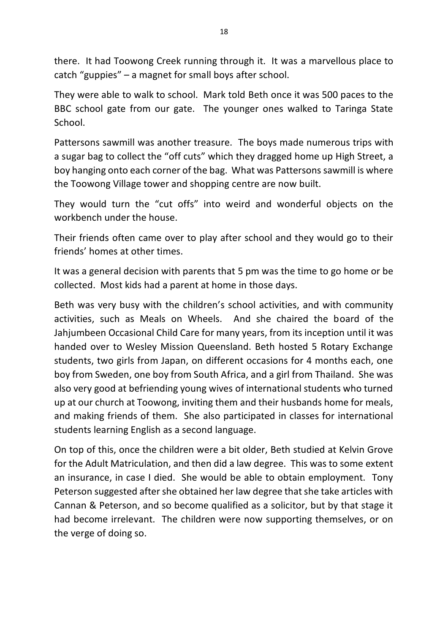there. It had Toowong Creek running through it. It was a marvellous place to catch "guppies" – a magnet for small boys after school.

They were able to walk to school. Mark told Beth once it was 500 paces to the BBC school gate from our gate. The younger ones walked to Taringa State School.

Pattersons sawmill was another treasure. The boys made numerous trips with a sugar bag to collect the "off cuts" which they dragged home up High Street, a boy hanging onto each corner of the bag. What was Pattersons sawmill is where the Toowong Village tower and shopping centre are now built.

They would turn the "cut offs" into weird and wonderful objects on the workbench under the house.

Their friends often came over to play after school and they would go to their friends' homes at other times.

It was a general decision with parents that 5 pm was the time to go home or be collected. Most kids had a parent at home in those days.

Beth was very busy with the children's school activities, and with community activities, such as Meals on Wheels. And she chaired the board of the Jahjumbeen Occasional Child Care for many years, from its inception until it was handed over to Wesley Mission Queensland. Beth hosted 5 Rotary Exchange students, two girls from Japan, on different occasions for 4 months each, one boy from Sweden, one boy from South Africa, and a girl from Thailand. She was also very good at befriending young wives of international students who turned up at our church at Toowong, inviting them and their husbands home for meals, and making friends of them. She also participated in classes for international students learning English as a second language.

On top of this, once the children were a bit older, Beth studied at Kelvin Grove for the Adult Matriculation, and then did a law degree. This was to some extent an insurance, in case I died. She would be able to obtain employment. Tony Peterson suggested after she obtained her law degree that she take articles with Cannan & Peterson, and so become qualified as a solicitor, but by that stage it had become irrelevant. The children were now supporting themselves, or on the verge of doing so.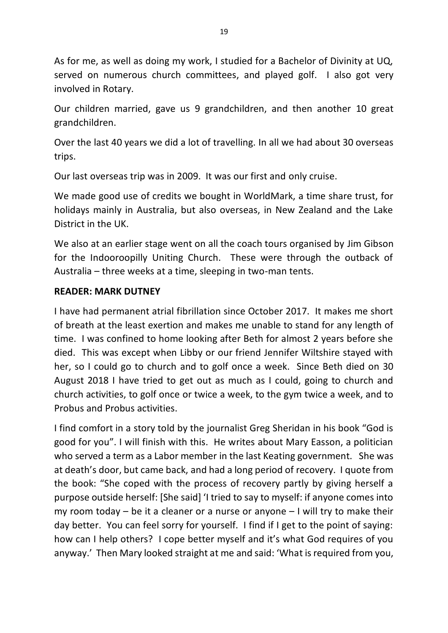As for me, as well as doing my work, I studied for a Bachelor of Divinity at UQ, served on numerous church committees, and played golf. I also got very involved in Rotary.

Our children married, gave us 9 grandchildren, and then another 10 great grandchildren.

Over the last 40 years we did a lot of travelling. In all we had about 30 overseas trips.

Our last overseas trip was in 2009. It was our first and only cruise.

We made good use of credits we bought in WorldMark, a time share trust, for holidays mainly in Australia, but also overseas, in New Zealand and the Lake District in the UK.

We also at an earlier stage went on all the coach tours organised by Jim Gibson for the Indooroopilly Uniting Church. These were through the outback of Australia – three weeks at a time, sleeping in two-man tents.

### **READER: MARK DUTNEY**

I have had permanent atrial fibrillation since October 2017. It makes me short of breath at the least exertion and makes me unable to stand for any length of time. I was confined to home looking after Beth for almost 2 years before she died. This was except when Libby or our friend Jennifer Wiltshire stayed with her, so I could go to church and to golf once a week. Since Beth died on 30 August 2018 I have tried to get out as much as I could, going to church and church activities, to golf once or twice a week, to the gym twice a week, and to Probus and Probus activities.

I find comfort in a story told by the journalist Greg Sheridan in his book "God is good for you". I will finish with this. He writes about Mary Easson, a politician who served a term as a Labor member in the last Keating government. She was at death's door, but came back, and had a long period of recovery. I quote from the book: "She coped with the process of recovery partly by giving herself a purpose outside herself: [She said] 'I tried to say to myself: if anyone comes into my room today – be it a cleaner or a nurse or anyone – I will try to make their day better. You can feel sorry for yourself. I find if I get to the point of saying: how can I help others? I cope better myself and it's what God requires of you anyway.' Then Mary looked straight at me and said: 'What is required from you,